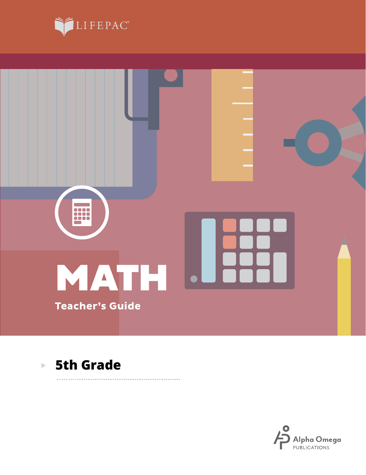





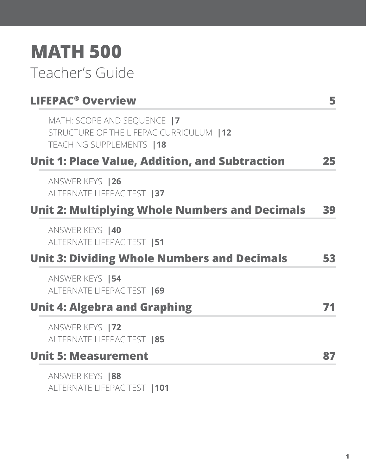# **MATH 500** Teacher's Guide

| <b>LIFEPAC<sup>®</sup> Overview</b>                                                                  | 5  |
|------------------------------------------------------------------------------------------------------|----|
| MATH: SCOPE AND SEQUENCE  7<br>STRUCTURE OF THE LIFEPAC CURRICULUM   12<br>TEACHING SUPPLEMENTS   18 |    |
| <b>Unit 1: Place Value, Addition, and Subtraction</b>                                                | 25 |
| ANSWER KEYS   26<br>ALTERNATE LIFEPAC TEST   37                                                      |    |
| <b>Unit 2: Multiplying Whole Numbers and Decimals</b>                                                | 39 |
| ANSWER KEYS   40<br>ALTERNATE LIFEPAC TEST   51                                                      |    |
| <b>Unit 3: Dividing Whole Numbers and Decimals</b>                                                   | 53 |
| ANSWER KEYS   54<br>ALTERNATE LIFEPAC TEST   69                                                      |    |
| <b>Unit 4: Algebra and Graphing</b>                                                                  |    |
| ANSWER KEYS   72<br>ALTERNATE LIFEPAC TEST   85                                                      |    |
| <b>Unit 5: Measurement</b>                                                                           | 87 |
| ANSWER KEYS   88<br>ALTERNATE LIFEPAC TEST   101                                                     |    |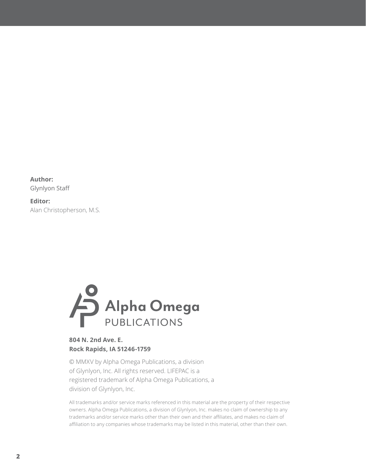**Author:** Glynlyon Staff

**Editor:** Alan Christopherson, M.S.



#### **804 N. 2nd Ave. E. Rock Rapids, IA 51246-1759**

© MMXV by Alpha Omega Publications, a division of Glynlyon, Inc. All rights reserved. LIFEPAC is a registered trademark of Alpha Omega Publications, a division of Glynlyon, Inc.

All trademarks and/or service marks referenced in this material are the property of their respective owners. Alpha Omega Publications, a division of Glynlyon, Inc. makes no claim of ownership to any trademarks and/or service marks other than their own and their affiliates, and makes no claim of affiliation to any companies whose trademarks may be listed in this material, other than their own.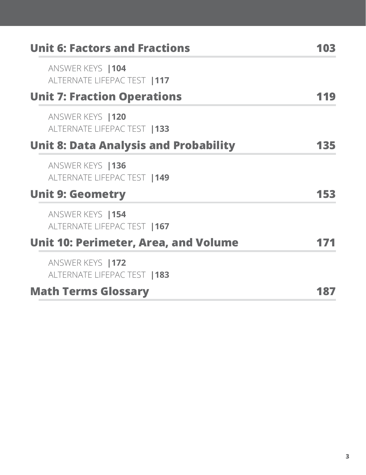| <b>Unit 6: Factors and Fractions</b>              | 03  |
|---------------------------------------------------|-----|
| ANSWER KEYS   104<br>ALTERNATE LIFEPAC TEST   117 |     |
| <b>Unit 7: Fraction Operations</b>                |     |
| ANSWER KEYS   120<br>ALTERNATE LIFEPAC TEST   133 |     |
| <b>Unit 8: Data Analysis and Probability</b>      | 135 |
| ANSWER KEYS   136<br>ALTERNATE LIFEPAC TEST   149 |     |
| <b>Unit 9: Geometry</b>                           | 153 |
| ANSWER KEYS   154<br>ALTERNATE LIFEPAC TEST   167 |     |
| <b>Unit 10: Perimeter, Area, and Volume</b>       |     |
| ANSWER KEYS   172<br>ALTERNATE LIFEPAC TEST   183 |     |
| <b>Math Terms Glossary</b>                        |     |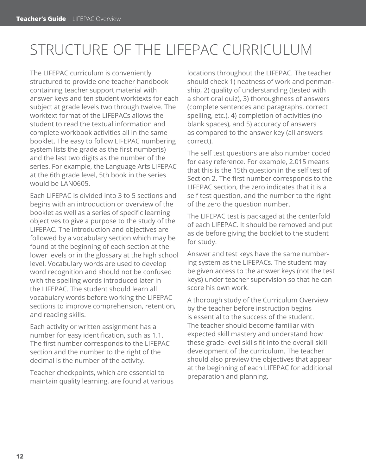## STRUCTURE OF THE LIFEPAC CURRICULUM

The LIFEPAC curriculum is conveniently structured to provide one teacher handbook containing teacher support material with answer keys and ten student worktexts for each subject at grade levels two through twelve. The worktext format of the LIFEPACs allows the student to read the textual information and complete workbook activities all in the same booklet. The easy to follow LIFEPAC numbering system lists the grade as the first number(s) and the last two digits as the number of the series. For example, the Language Arts LIFEPAC at the 6th grade level, 5th book in the series would be LAN0605.

Each LIFEPAC is divided into 3 to 5 sections and begins with an introduction or overview of the booklet as well as a series of specific learning objectives to give a purpose to the study of the LIFEPAC. The introduction and objectives are followed by a vocabulary section which may be found at the beginning of each section at the lower levels or in the glossary at the high school level. Vocabulary words are used to develop word recognition and should not be confused with the spelling words introduced later in the LIFEPAC. The student should learn all vocabulary words before working the LIFEPAC sections to improve comprehension, retention, and reading skills.

Each activity or written assignment has a number for easy identification, such as 1.1. The first number corresponds to the LIFEPAC section and the number to the right of the decimal is the number of the activity.

Teacher checkpoints, which are essential to maintain quality learning, are found at various locations throughout the LIFEPAC. The teacher should check 1) neatness of work and penmanship, 2) quality of understanding (tested with a short oral quiz), 3) thoroughness of answers (complete sentences and paragraphs, correct spelling, etc.), 4) completion of activities (no blank spaces), and 5) accuracy of answers as compared to the answer key (all answers correct).

The self test questions are also number coded for easy reference. For example, 2.015 means that this is the 15th question in the self test of Section 2. The first number corresponds to the LIFEPAC section, the zero indicates that it is a self test question, and the number to the right of the zero the question number.

The LIFEPAC test is packaged at the centerfold of each LIFEPAC. It should be removed and put aside before giving the booklet to the student for study.

Answer and test keys have the same numbering system as the LIFEPACs. The student may be given access to the answer keys (not the test keys) under teacher supervision so that he can score his own work.

A thorough study of the Curriculum Overview by the teacher before instruction begins is essential to the success of the student. The teacher should become familiar with expected skill mastery and understand how these grade-level skills fit into the overall skill development of the curriculum. The teacher should also preview the objectives that appear at the beginning of each LIFEPAC for additional preparation and planning.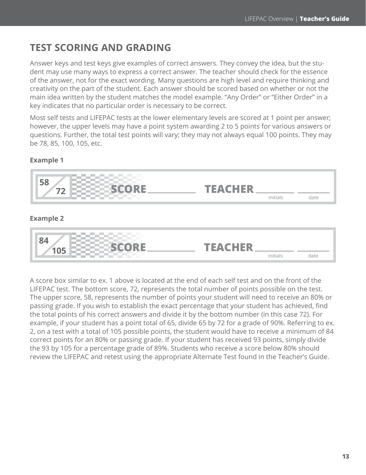## **TEST SCORING AND GRADING**

Answer keys and test keys give examples of correct answers. They convey the idea, but the student may use many ways to express a correct answer. The teacher should check for the essence of the answer, not for the exact wording. Many questions are high level and require thinking and creativity on the part of the student. Each answer should be scored based on whether or not the main idea written by the student matches the model example. "Any Order" or "Either Order" in a key indicates that no particular order is necessary to be correct.

Most self tests and LIFEPAC tests at the lower elementary levels are scored at 1 point per answer; however, the upper levels may have a point system awarding 2 to 5 points for various answers or questions. Further, the total test points will vary; they may not always equal 100 points. They may be 78, 85, 100, 105, etc.

#### **Example 1**



A score box similar to ex. 1 above is located at the end of each self test and on the front of the LIFEPAC test. The bottom score, 72, represents the total number of points possible on the test. The upper score, 58, represents the number of points your student will need to receive an 80% or passing grade. If you wish to establish the exact percentage that your student has achieved, find the total points of his correct answers and divide it by the bottom number (in this case 72). For example, if your student has a point total of 65, divide 65 by 72 for a grade of 90%. Referring to ex. 2, on a test with a total of 105 possible points, the student would have to receive a minimum of 84 correct points for an 80% or passing grade. If your student has received 93 points, simply divide the 93 by 105 for a percentage grade of 89%. Students who receive a score below 80% should review the LIFEPAC and retest using the appropriate Alternate Test found in the Teacher's Guide.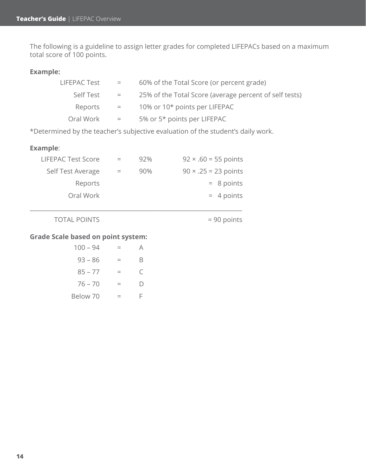The following is a guideline to assign letter grades for completed LIFEPACs based on a maximum total score of 100 points.

#### **Example:**

| LIFEPAC Test | $=$ | 60% of the Total Score (or percent grade)              |
|--------------|-----|--------------------------------------------------------|
| Self Test    | $=$ | 25% of the Total Score (average percent of self tests) |
| Reports      | $=$ | 10% or 10* points per LIFEPAC                          |
| Oral Work    | $=$ | 5% or 5* points per LIFEPAC                            |

\*Determined by the teacher's subjective evaluation of the student's daily work.

#### **Example**:

| <b>LIFEPAC Test Score</b> |     | 92% | $92 \times .60 = 55$ points |
|---------------------------|-----|-----|-----------------------------|
| Self Test Average         | $=$ | 90% | $90 \times .25 = 23$ points |
| Reports                   |     |     | $= 8$ points                |
| Oral Work                 |     |     | $= 4$ points                |
|                           |     |     |                             |

\_\_\_\_\_\_\_\_\_\_\_\_\_\_\_\_\_\_\_\_\_\_\_\_\_\_\_\_\_\_\_\_\_\_\_\_\_\_\_\_\_\_\_\_\_\_\_\_\_\_\_\_\_\_\_\_\_\_\_\_\_\_\_\_\_\_\_\_\_\_\_

TOTAL POINTS = 90 points

#### **Grade Scale based on point system:**

| $100 - 94$ |    |
|------------|----|
| $93 - 86$  | B  |
| $85 - 77$  | C  |
| $76 - 70$  | D) |
| Below 70   | F  |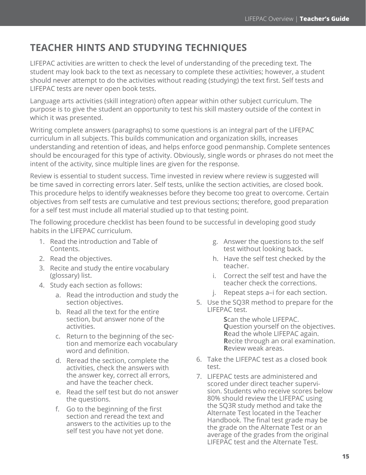## **TEACHER HINTS AND STUDYING TECHNIQUES**

LIFEPAC activities are written to check the level of understanding of the preceding text. The student may look back to the text as necessary to complete these activities; however, a student should never attempt to do the activities without reading (studying) the text first. Self tests and LIFEPAC tests are never open book tests.

Language arts activities (skill integration) often appear within other subject curriculum. The purpose is to give the student an opportunity to test his skill mastery outside of the context in which it was presented.

Writing complete answers (paragraphs) to some questions is an integral part of the LIFEPAC curriculum in all subjects. This builds communication and organization skills, increases understanding and retention of ideas, and helps enforce good penmanship. Complete sentences should be encouraged for this type of activity. Obviously, single words or phrases do not meet the intent of the activity, since multiple lines are given for the response.

Review is essential to student success. Time invested in review where review is suggested will be time saved in correcting errors later. Self tests, unlike the section activities, are closed book. This procedure helps to identify weaknesses before they become too great to overcome. Certain objectives from self tests are cumulative and test previous sections; therefore, good preparation for a self test must include all material studied up to that testing point.

The following procedure checklist has been found to be successful in developing good study habits in the LIFEPAC curriculum.

- 1. Read the introduction and Table of Contents.
- 2. Read the objectives.
- 3. Recite and study the entire vocabulary (glossary) list.
- 4. Study each section as follows:
	- a. Read the introduction and study the section objectives.
	- b. Read all the text for the entire section, but answer none of the activities.
	- c. Return to the beginning of the section and memorize each vocabulary word and definition.
	- d. Reread the section, complete the activities, check the answers with the answer key, correct all errors, and have the teacher check.
	- e. Read the self test but do not answer the questions.
	- f. Go to the beginning of the first section and reread the text and answers to the activities up to the self test you have not yet done.
- g. Answer the questions to the self test without looking back.
- h. Have the self test checked by the teacher.
- i. Correct the self test and have the teacher check the corrections.
- j. Repeat steps a–i for each section.
- 5. Use the SQ3R method to prepare for the LIFEPAC test.

**S**can the whole LIFEPAC. **Q**uestion yourself on the objectives. **R**ead the whole LIFEPAC again. **R**ecite through an oral examination. **R**eview weak areas.

- 6. Take the LIFEPAC test as a closed book test.
- 7. LIFEPAC tests are administered and scored under direct teacher supervision. Students who receive scores below 80% should review the LIFEPAC using the SQ3R study method and take the Alternate Test located in the Teacher Handbook. The final test grade may be the grade on the Alternate Test or an average of the grades from the original LIFEPAC test and the Alternate Test.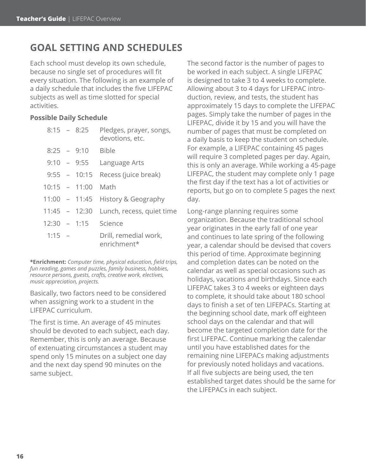## **GOAL SETTING AND SCHEDULES**

Each school must develop its own schedule, because no single set of procedures will fit every situation. The following is an example of a daily schedule that includes the five LIFEPAC subjects as well as time slotted for special activities.

#### **Possible Daily Schedule**

|          | $8:15 - 8:25$   | Pledges, prayer, songs,<br>devotions, etc. |
|----------|-----------------|--------------------------------------------|
|          | $8:25 - 9:10$   | <b>Bible</b>                               |
|          | $9:10 - 9:55$   | Language Arts                              |
|          |                 | 9:55 - 10:15 Recess (juice break)          |
|          | $10:15 - 11:00$ | Math                                       |
|          | $11:00 - 11:45$ | History & Geography                        |
|          | $11:45 - 12:30$ | Lunch, recess, quiet time                  |
|          |                 | 12:30 - 1:15 Science                       |
| $1:15 -$ |                 | Drill, remedial work,<br>enrichment*       |

**\*Enrichment:** *Computer time, physical education, field trips, fun reading, games and puzzles, family business, hobbies, resource persons, guests, crafts, creative work, electives, music appreciation, projects.*

Basically, two factors need to be considered when assigning work to a student in the LIFEPAC curriculum.

The first is time. An average of 45 minutes should be devoted to each subject, each day. Remember, this is only an average. Because of extenuating circumstances a student may spend only 15 minutes on a subject one day and the next day spend 90 minutes on the same subject.

The second factor is the number of pages to be worked in each subject. A single LIFEPAC is designed to take 3 to 4 weeks to complete. Allowing about 3 to 4 days for LIFEPAC introduction, review, and tests, the student has approximately 15 days to complete the LIFEPAC pages. Simply take the number of pages in the LIFEPAC, divide it by 15 and you will have the number of pages that must be completed on a daily basis to keep the student on schedule. For example, a LIFEPAC containing 45 pages will require 3 completed pages per day. Again, this is only an average. While working a 45-page LIFEPAC, the student may complete only 1 page the first day if the text has a lot of activities or reports, but go on to complete 5 pages the next day.

Long-range planning requires some organization. Because the traditional school year originates in the early fall of one year and continues to late spring of the following year, a calendar should be devised that covers this period of time. Approximate beginning and completion dates can be noted on the calendar as well as special occasions such as holidays, vacations and birthdays. Since each LIFEPAC takes 3 to 4 weeks or eighteen days to complete, it should take about 180 school days to finish a set of ten LIFEPACs. Starting at the beginning school date, mark off eighteen school days on the calendar and that will become the targeted completion date for the first LIFEPAC. Continue marking the calendar until you have established dates for the remaining nine LIFEPACs making adjustments for previously noted holidays and vacations. If all five subjects are being used, the ten established target dates should be the same for the LIFEPACs in each subject.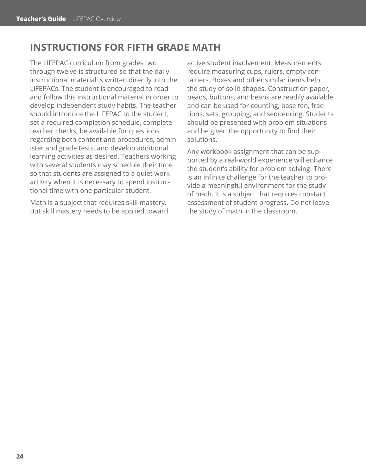## **INSTRUCTIONS FOR FIFTH GRADE MATH**

The LIFEPAC curriculum from grades two through twelve is structured so that the daily instructional material is written directly into the LIFEPACs. The student is encouraged to read and follow this instructional material in order to develop independent study habits. The teacher should introduce the LIFEPAC to the student, set a required completion schedule, complete teacher checks, be available for questions regarding both content and procedures, administer and grade tests, and develop additional learning activities as desired. Teachers working with several students may schedule their time so that students are assigned to a quiet work activity when it is necessary to spend instructional time with one particular student.

Math is a subject that requires skill mastery. But skill mastery needs to be applied toward active student involvement. Measurements require measuring cups, rulers, empty containers. Boxes and other similar items help the study of solid shapes. Construction paper, beads, buttons, and beans are readily available and can be used for counting, base ten, fractions, sets, grouping, and sequencing. Students should be presented with problem situations and be given the opportunity to find their solutions.

Any workbook assignment that can be supported by a real-world experience will enhance the student's ability for problem solving. There is an infinite challenge for the teacher to provide a meaningful environment for the study of math. It is a subject that requires constant assessment of student progress. Do not leave the study of math in the classroom.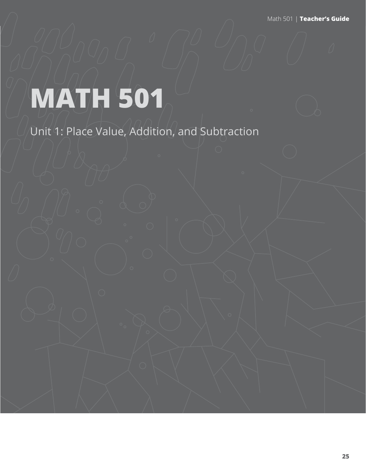Math 501 | **Teacher's Guide**

# **MATH 501**

Unit 1: Place Value, Addition, and Subtraction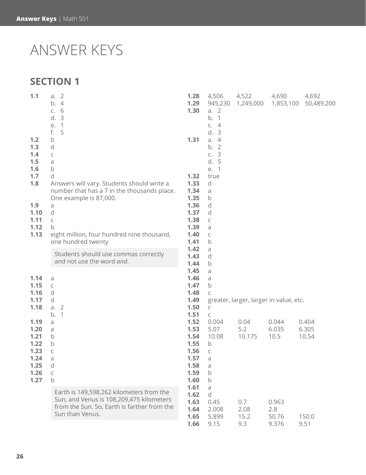## ANSWER KEYS

## **SECTION 1**

| 1.1                             | a. 2<br>$\overline{4}$<br>b.<br>6<br>C.<br>3<br>d.<br>1<br>е.                             | 1.28<br>1.29<br>1.30 | 4,506<br>945,230<br>a. 2<br>b.<br>$\sqrt{1}$<br>C.<br>$\overline{4}$                        | 4,522       | 4,690<br>1,249,000 1,853,100           | 4,692<br>50,489,200 |
|---------------------------------|-------------------------------------------------------------------------------------------|----------------------|---------------------------------------------------------------------------------------------|-------------|----------------------------------------|---------------------|
| 1.2<br>1.3<br>1.4<br>1.5<br>1.6 | 5<br>f.<br>b<br>d<br>C<br>a<br>$\mathsf b$                                                | 1.31                 | d.3<br>a.<br>$\overline{4}$<br>b.<br>$\overline{2}$<br>$\overline{3}$<br>C.<br>d. 5<br>e. 1 |             |                                        |                     |
| 1.7                             | d                                                                                         | 1.32                 | true                                                                                        |             |                                        |                     |
| 1.8                             | Answers will vary. Students should write a<br>number that has a 7 in the thousands place. | 1.33<br>1.34         | d                                                                                           |             |                                        |                     |
|                                 | One example is 87,000.                                                                    | 1.35                 | a<br>$\mathsf b$                                                                            |             |                                        |                     |
| 1.9                             | a                                                                                         | 1.36                 | d                                                                                           |             |                                        |                     |
| 1.10                            | $\mathsf d$                                                                               | 1.37                 | d                                                                                           |             |                                        |                     |
| 1.11                            | C                                                                                         | 1.38                 | $\mathsf C$                                                                                 |             |                                        |                     |
| 1.12<br>1.13                    | b<br>eight million, four hundred nine thousand,                                           | 1.39<br>1.40         | a<br>С                                                                                      |             |                                        |                     |
|                                 | one hundred twenty                                                                        | 1.41                 | b                                                                                           |             |                                        |                     |
|                                 | Students should use commas correctly                                                      | 1.42                 | a                                                                                           |             |                                        |                     |
|                                 | and not use the word and.                                                                 | 1.43<br>1.44         | d                                                                                           |             |                                        |                     |
|                                 |                                                                                           | 1.45                 | b<br>a                                                                                      |             |                                        |                     |
| 1.14                            | a                                                                                         | 1.46                 | a                                                                                           |             |                                        |                     |
| 1.15                            | C                                                                                         | 1.47                 | $\mathsf b$                                                                                 |             |                                        |                     |
| 1.16<br>1.17                    | d<br>d                                                                                    | 1.48<br>1.49         | C                                                                                           |             |                                        |                     |
| 1.18                            | a. 2                                                                                      | 1.50                 | C                                                                                           |             | greater, larger, larger in value, etc. |                     |
|                                 | $\left  \right $<br>b.                                                                    | 1.51                 | $\mathsf C$                                                                                 |             |                                        |                     |
| 1.19                            | a                                                                                         | 1.52                 | 0.004                                                                                       | 0.04        | 0.044                                  | 0.404               |
| 1.20                            | a                                                                                         | 1.53                 | 5.07                                                                                        | 5.2         | 6.035                                  | 6.305               |
| 1.21<br>1.22                    | b<br>b                                                                                    | 1.54<br>1.55         | 10.08<br>b                                                                                  | 10.175      | 10.5                                   | 10.54               |
| 1.23                            | C                                                                                         | 1.56                 | $\mathsf C$                                                                                 |             |                                        |                     |
| 1.24                            | a                                                                                         | 1.57                 | a                                                                                           |             |                                        |                     |
| 1.25                            | $\mathsf d$                                                                               | 1.58                 | a                                                                                           |             |                                        |                     |
| 1.26                            | C                                                                                         | 1.59                 | $\mathsf b$                                                                                 |             |                                        |                     |
| 1.27                            | $\mathsf b$                                                                               | 1.60<br>1.61         | $\mathsf b$<br>a                                                                            |             |                                        |                     |
|                                 | Earth is 149,598,262 kilometers from the                                                  | 1.62                 | d                                                                                           |             |                                        |                     |
|                                 | Sun, and Venus is 108,209,475 kilometers                                                  | 1.63                 | 0.45                                                                                        | 0.7         | 0.963                                  |                     |
|                                 | from the Sun. So, Earth is farther from the<br>Sun than Venus.                            | 1.64                 | 2.008                                                                                       | 2.08        | 2.8                                    |                     |
|                                 |                                                                                           | 1.65<br>1.66         | 5.899<br>9.15                                                                               | 15.2<br>9.3 | 50.76<br>9.376                         | 150.0<br>9.51       |
|                                 |                                                                                           |                      |                                                                                             |             |                                        |                     |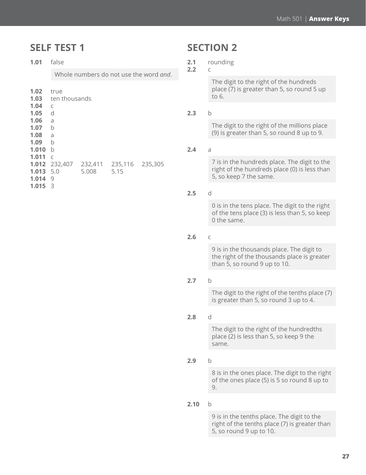### **SELF TEST 1**

**1.01** false

Whole numbers do not use the word *and*.

| true         |                                    |                                 |
|--------------|------------------------------------|---------------------------------|
|              |                                    |                                 |
| $\mathsf{C}$ |                                    |                                 |
| d            |                                    |                                 |
| a            |                                    |                                 |
| b            |                                    |                                 |
| a            |                                    |                                 |
| b            |                                    |                                 |
| b            |                                    |                                 |
| $\subset$    |                                    |                                 |
| 232,407      |                                    |                                 |
| 5.0          |                                    |                                 |
| 9            |                                    |                                 |
| 3            |                                    |                                 |
|              | <b>1.03</b> ten thousands<br>5.008 | 232,411 235,116 235,305<br>5.15 |

## **SECTION 2**

**2.1** rounding

#### **2.2** c

The digit to the right of the hundreds place (7) is greater than 5, so round 5 up to 6.

#### **2.3** b

The digit to the right of the millions place (9) is greater than 5, so round 8 up to 9.

#### **2.4** a

7 is in the hundreds place. The digit to the right of the hundreds place (0) is less than 5, so keep 7 the same.

#### **2.5** d

0 is in the tens place. The digit to the right of the tens place (3) is less than 5, so keep 0 the same.

#### **2.6** c

9 is in the thousands place. The digit to the right of the thousands place is greater than 5, so round 9 up to 10.

#### **2.7** b

The digit to the right of the tenths place (7) is greater than 5, so round 3 up to 4.

#### **2.8** d

The digit to the right of the hundredths place (2) is less than 5, so keep 9 the same.

#### **2.9** b

8 is in the ones place. The digit to the right of the ones place (5) is 5 so round 8 up to 9.

#### **2.10** b

9 is in the tenths place. The digit to the right of the tenths place (7) is greater than 5, so round 9 up to 10.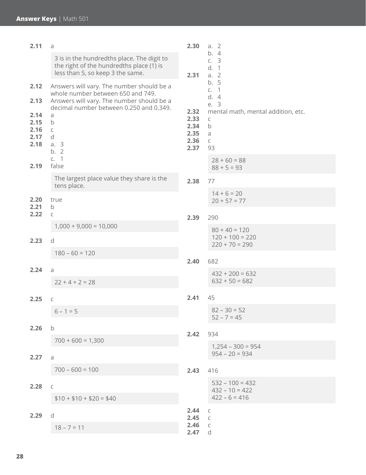| 2.11                                 | a                                                                                                                                                                      | 2.30                                 | a. 2                                                                                 |  |  |
|--------------------------------------|------------------------------------------------------------------------------------------------------------------------------------------------------------------------|--------------------------------------|--------------------------------------------------------------------------------------|--|--|
|                                      | 3 is in the hundredths place. The digit to<br>the right of the hundredths place (1) is<br>less than 5, so keep 3 the same.                                             | 2.31                                 | $\overline{4}$<br>b.<br>c. 3<br>d.<br>$\overline{1}$<br>a. 2                         |  |  |
| 2.12<br>2.13                         | Answers will vary. The number should be a<br>whole number between 650 and 749.<br>Answers will vary. The number should be a<br>decimal number between 0.250 and 0.349. | 2.32                                 | 5<br>b.<br>$\overline{1}$<br>C.<br>d.4<br>e. 3<br>mental math, mental addition, etc. |  |  |
| 2.14<br>2.15<br>2.16<br>2.17<br>2.18 | a<br>$\mathsf b$<br>$\mathsf{C}$<br>d<br>a. 3<br>b.2                                                                                                                   | 2.33<br>2.34<br>2.35<br>2.36<br>2.37 | C<br>$\mathsf b$<br>a<br>$\mathsf C$<br>93                                           |  |  |
| 2.19                                 | c. 1<br>false                                                                                                                                                          |                                      | $28 + 60 = 88$<br>$88 + 5 = 93$                                                      |  |  |
|                                      | The largest place value they share is the<br>tens place.                                                                                                               | 2.38                                 | 77                                                                                   |  |  |
| 2.20<br>2.21                         | true<br>$\mathsf b$                                                                                                                                                    |                                      | $14 + 6 = 20$<br>$20 + 57 = 77$                                                      |  |  |
| 2.22                                 | $\mathsf C$                                                                                                                                                            | 2.39                                 | 290                                                                                  |  |  |
| 2.23                                 | $1,000 + 9,000 = 10,000$<br>d                                                                                                                                          |                                      | $80 + 40 = 120$<br>$120 + 100 = 220$<br>$220 + 70 = 290$                             |  |  |
|                                      | $180 - 60 = 120$                                                                                                                                                       |                                      |                                                                                      |  |  |
| 2.24                                 | 2.40<br>a                                                                                                                                                              | 682<br>$432 + 200 = 632$             |                                                                                      |  |  |
|                                      | $22 + 4 + 2 = 28$                                                                                                                                                      | $632 + 50 = 682$                     |                                                                                      |  |  |
| 2.25                                 | C                                                                                                                                                                      | 2.41                                 | 45                                                                                   |  |  |
|                                      | $6 - 1 = 5$                                                                                                                                                            |                                      | $82 - 30 = 52$<br>$52 - 7 = 45$                                                      |  |  |
| 2.26                                 | $\mathsf b$                                                                                                                                                            | 2.42                                 | 934                                                                                  |  |  |
| 2.27                                 | $700 + 600 = 1,300$<br>a                                                                                                                                               |                                      | $1,254 - 300 = 954$<br>$954 - 20 = 934$                                              |  |  |
|                                      | $700 - 600 = 100$                                                                                                                                                      | 2.43                                 | 416                                                                                  |  |  |
| 2.28                                 | C                                                                                                                                                                      |                                      | $532 - 100 = 432$<br>$432 - 10 = 422$<br>$422 - 6 = 416$                             |  |  |
|                                      | $$10 + $10 + $20 = $40$                                                                                                                                                |                                      |                                                                                      |  |  |
| 2.29                                 | d                                                                                                                                                                      | 2.44<br>2.45<br>2.46                 | C<br>C<br>$\mathsf C$                                                                |  |  |
|                                      | $18 - 7 = 11$                                                                                                                                                          | 2.47                                 | d                                                                                    |  |  |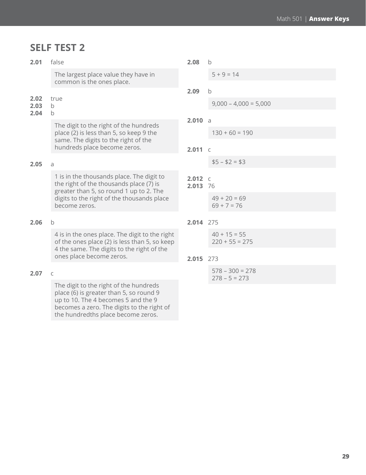## **SELF TEST 2**

### The largest place value they have in common is the ones place.

**2.02** true

**2.01** false

#### **2.03** b

#### **2.04** b

The digit to the right of the hundreds place (2) is less than 5, so keep 9 the same. The digits to the right of the hundreds place become zeros.

#### **2.05** a

1 is in the thousands place. The digit to the right of the thousands place (7) is greater than 5, so round 1 up to 2. The digits to the right of the thousands place become zeros.

#### **2.06** b

4 is in the ones place. The digit to the right of the ones place (2) is less than 5, so keep 4 the same. The digits to the right of the ones place become zeros.

#### **2.07** c

The digit to the right of the hundreds place (6) is greater than 5, so round 9 up to 10. The 4 becomes 5 and the 9 becomes a zero. The digits to the right of the hundredths place become zeros.

#### **2.08** b

 $5 + 9 = 14$ 

**2.09** b

 $9,000 - 4,000 = 5,000$ 

**2.010** a

 $130 + 60 = 190$ 

**2.011** c

 $$5 - $2 = $3$ 

```
2.012 c
2.013 76
```
 $49 + 20 = 69$  $69 + 7 = 76$ 

#### **2.014** 275

| $40 + 15 = 55$   |
|------------------|
| $220 + 55 = 275$ |

#### **2.015** 273

578 – 300 = 278  $278 - 5 = 273$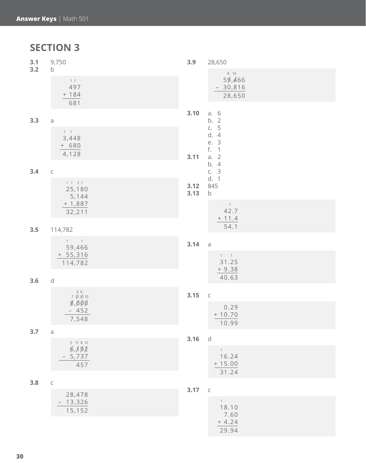**SECTION 3**

| 3.1<br>3.2 | 9,750<br>b                                                        | 3.9                        | 28,650                                                       |
|------------|-------------------------------------------------------------------|----------------------------|--------------------------------------------------------------|
|            | 11<br>497<br>$+ 184$<br>681                                       |                            | 8 14<br>59,466<br>$-30,816$<br>28,650                        |
|            |                                                                   | 3.10                       | a. 6                                                         |
| 3.3        | $\overline{\text{d}}$<br>$1 \quad 1$<br>3,448<br>$+ 680$<br>4,128 | 3.11                       | b. 2<br>c. 5<br>d. 4<br>e. 3<br>f.<br>$\overline{1}$<br>a. 2 |
| 3.4        | $\mathsf C$                                                       |                            | b.<br>$\overline{4}$<br>c. 3                                 |
|            | 1 1 2 1<br>3.12<br>25,180<br>3.13<br>5,144                        |                            | d. 1<br>845<br>$\sf b$                                       |
|            | $+1,887$<br>32,211                                                |                            | $\overline{1}$<br>42.7<br>$+ 11.4$                           |
| 3.5        | 114,782                                                           |                            | 54.1                                                         |
|            | $1 \qquad 1$<br>59,466                                            | 3.14                       | $\partial$                                                   |
|            | $+ 55,316$<br>114,782                                             |                            | $1 \qquad 1$<br>31.25<br>$+9.38$                             |
| 3.6        | $\operatorname{\mathsf{d}}$                                       |                            | 40.63                                                        |
|            | $99$<br>7 $1010$                                                  | 3.15                       | $\mathsf C$                                                  |
|            | 8,000<br>$-452$<br>7,548                                          | 0.29<br>$+ 10.70$<br>10.99 |                                                              |
| 3.7        | a<br>3.16                                                         |                            | d                                                            |
|            | 5 11 8 12<br>6,192<br>5,737<br>457                                |                            | 1<br>16.24<br>$+15.00$<br>31.24                              |
| 3.8        | $\mathsf C$                                                       | 3.17                       | $\,$ C                                                       |
|            | 28,478<br>13,326<br>15,152                                        |                            | 1<br>18.10<br>7.60                                           |
|            |                                                                   |                            | $+4.24$                                                      |

29.94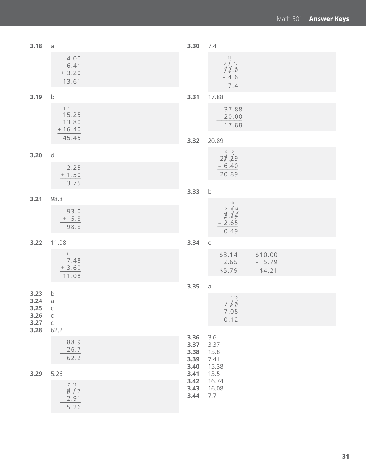| 3.18                                 | $\mbox{\bf a}$                                                   | 3.30                 | 7.4                                                      |
|--------------------------------------|------------------------------------------------------------------|----------------------|----------------------------------------------------------|
|                                      | 4.00<br>6.41<br>$+3.20$<br>13.61                                 |                      | 11<br>$0 \neq 10$<br>12.6<br>$-4.6$<br>7.4               |
| 3.19                                 | $\mathsf b$                                                      | 3.31                 | 17.88                                                    |
|                                      | $1\quad1$<br>15.25<br>13.80<br>$+16.40$                          |                      | 37.88<br>$-20.00$<br>17.88                               |
|                                      | 45.45                                                            | 3.32                 | 20.89                                                    |
| 3.20                                 | $\mathsf d$                                                      |                      | 27.29                                                    |
|                                      | 2.25<br>$+ 1.50$<br>3.75                                         |                      | $-6.40$<br>20.89                                         |
|                                      |                                                                  | 3.33                 | $\sf b$                                                  |
| 3.21                                 | 98.8<br>93.0                                                     |                      | 10                                                       |
|                                      | $+ 5.8$<br>98.8                                                  |                      | $\frac{2}{3}$ , $\frac{6}{14}$<br>$-2.65$<br>0.49        |
| 3.22                                 | 11.08                                                            | 3.34                 | $\mathsf C$                                              |
|                                      | $\overline{1}$<br>7.48<br>$+3.60$<br>11.08                       |                      | \$3.14 \$10.00<br>$+2.65$<br>$-5.79$<br>\$5.79<br>\$4.21 |
|                                      |                                                                  | 3.35                 | $\mbox{\rm a}$                                           |
| 3.23<br>3.24<br>3.25<br>3.26<br>3.27 | b<br>$\mbox{\rm a}$<br>$\mathsf C$<br>$\mathsf C$<br>$\mathsf C$ |                      | $7.\cancel{20}^{110}$<br>$-7.08$<br>0.12                 |
| 3.28                                 | 62.2<br>88.9                                                     | 3.36                 | 3.6                                                      |
|                                      | $-26.7$<br>62.2                                                  | 3.37<br>3.38<br>3.39 | 3.37<br>15.8<br>7.41                                     |
| 3.29                                 | 5.26                                                             | 3.40<br>3.41         | 15.38<br>13.5                                            |
|                                      | 7 11<br>8.17<br>$-2.91$<br>5.26                                  | 3.42<br>3.43<br>3.44 | 16.74<br>16.08<br>7.7                                    |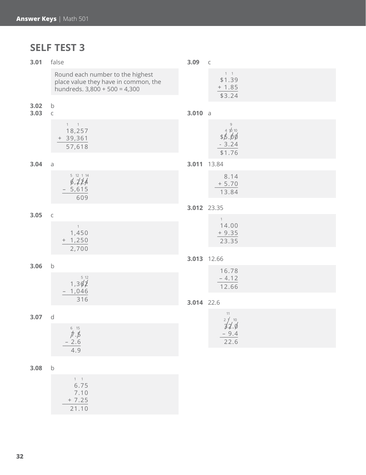## **SELF TEST 3**

| 3.01         | false                                                                                                       |             | $\mathsf C$                                             |
|--------------|-------------------------------------------------------------------------------------------------------------|-------------|---------------------------------------------------------|
|              | Round each number to the highest<br>place value they have in common, the<br>hundreds. $3,800 + 500 = 4,300$ |             | $1 - 1$<br>\$1.39<br>$+ 1.85$<br>\$3.24                 |
| 3.02<br>3.03 | b<br>$\mathsf C$                                                                                            | 3.010 a     |                                                         |
|              | $1 \quad 1$<br>18,257<br>$+ 39,361$<br>57,618                                                               |             | $\mathcal{G}$<br>4 10 10<br>\$5.00<br>$-3.24$<br>\$1.76 |
| 3.04         | $\partial$                                                                                                  | 3.011 13.84 |                                                         |
|              | 5 12 1 14<br>$\cancel{6}$ , $\cancel{11}$<br>$-5,615$<br>609                                                |             | 8.14<br>$+ 5.70$<br>13.84                               |
|              |                                                                                                             | 3.012 23.35 |                                                         |
| 3.05         | $\mathsf C$<br>$\overline{1}$<br>1,450<br>$+ 1,250$                                                         |             | $\overline{1}$<br>14.00<br>$+9.35$<br>23.35             |
|              | 2,700                                                                                                       | 3.013 12.66 |                                                         |
| 3.06         | $\mathsf b$                                                                                                 | 3.014 22.6  | 16.78                                                   |
|              | 5 12<br>1,304<br>$-1,046$                                                                                   |             | $-4.12$<br>12.66                                        |
|              | 316                                                                                                         |             |                                                         |
| 3.07         | d                                                                                                           |             | 11<br>$2 \frac{1}{10}$                                  |
|              | 6 15<br>$$\overrightarrow{7}.\overrightarrow{5}$$<br>- 2.6<br>4.9                                           |             | 32.6<br>$-9.4$<br>22.6                                  |
| 3.08         | $\mathsf b$                                                                                                 |             |                                                         |
|              | $1 \quad 1$<br>6.75<br>7.10<br>$+7.25$<br>21.10                                                             |             |                                                         |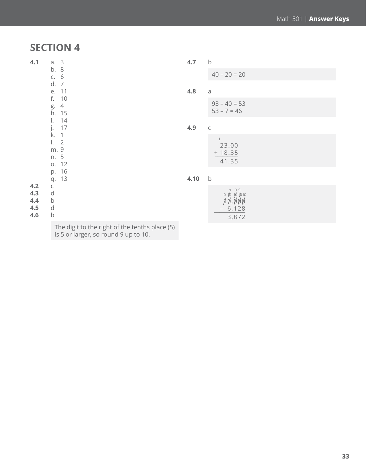## **SECTION 4**

| 4.1                             | a. 3<br>b. 8<br>c. 6                                                | 4.7  | $\mathsf b$                                                           |
|---------------------------------|---------------------------------------------------------------------|------|-----------------------------------------------------------------------|
|                                 |                                                                     |      | $40 - 20 = 20$                                                        |
|                                 | d.<br>$\overline{7}$<br>11<br>е.                                    | 4.8  | a                                                                     |
|                                 | f.<br>10<br>$\overline{4}$<br>g.<br>h.<br>15                        |      | $93 - 40 = 53$<br>$53 - 7 = 46$                                       |
|                                 | 14<br>i.<br>17<br>j.                                                | 4.9  | $\mathsf C$                                                           |
|                                 | k.<br>$\mathbf{1}$<br>$\overline{2}$<br>Ι.<br>m. 9<br>n. 5<br>o. 12 |      | $\mathbf{1}$<br>23.00<br>$+18.35$<br>41.35                            |
|                                 | 16<br>p.<br>13<br>q.                                                | 4.10 | $\mathsf b$                                                           |
| 4.2<br>4.3<br>4,4<br>4.5<br>4.6 | C<br>d<br>b<br>d<br>b                                               |      | 999<br>0 16 16 16 10<br>1ø,øøø<br>6,128<br>$\qquad \qquad -$<br>3,872 |
|                                 | The digit to the right of the tenths place (5)                      |      |                                                                       |

is 5 or larger, so round 9 up to 10.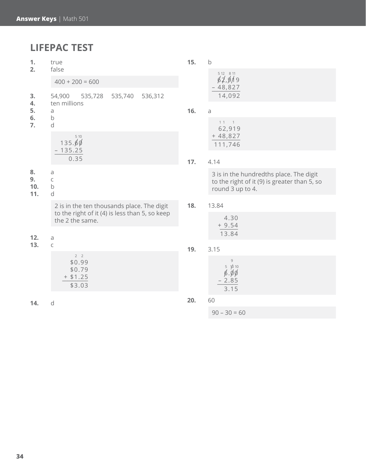## **LIFEPAC TEST**

| 1.<br>2.                   | true<br>false                                                     | 15. | $\mathsf b$                                                                                                 |
|----------------------------|-------------------------------------------------------------------|-----|-------------------------------------------------------------------------------------------------------------|
|                            | $400 + 200 = 600$                                                 |     | 5 12 8 11<br>62,919<br>$-48,827$                                                                            |
| 3.<br>4.<br>5.<br>6.<br>7. | 536,312<br>54,900<br>535,728<br>535,740<br>ten millions           |     | 14,092                                                                                                      |
|                            | a<br>$\sf b$                                                      | 16. | $\mathsf a$                                                                                                 |
|                            | d                                                                 |     | $11$ $1$<br>62,919                                                                                          |
|                            | 5 10<br>135.60                                                    |     | $+48,827$<br>111,746                                                                                        |
|                            | $-135.25$<br>0.35                                                 | 17. | 4.14                                                                                                        |
| 8.<br>9.<br>10.<br>11.     | a<br>C<br>b<br>d                                                  |     | 3 is in the hundredths place. The digit<br>to the right of it (9) is greater than 5, so<br>round 3 up to 4. |
|                            | 2 is in the ten thousands place. The digit                        | 18. | 13.84                                                                                                       |
|                            | to the right of it (4) is less than 5, so keep<br>the 2 the same. |     | 4.30<br>$+9.54$                                                                                             |
| 12.                        | a                                                                 |     | 13.84                                                                                                       |
| 13.                        | C                                                                 | 19. | 3.15                                                                                                        |
|                            | 2 <sub>2</sub><br>\$0.99<br>\$0.79<br>$+ $1.25$<br>\$3.03         |     | $\,9$<br>$5 - 1010$<br>$\beta$ . $\beta$ $\beta$<br>$-2.85$<br>3.15                                         |
| 14.                        | d                                                                 | 20. | 60                                                                                                          |
|                            |                                                                   |     | $90 - 30 = 60$                                                                                              |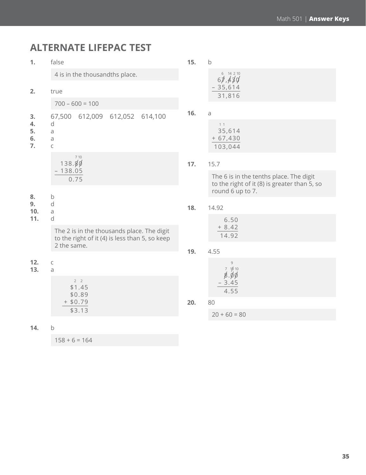## **ALTERNATE LIFEPAC TEST**

| 1.                         | false                                                                                        |     | $\mathsf b$                                                                                                 |  |
|----------------------------|----------------------------------------------------------------------------------------------|-----|-------------------------------------------------------------------------------------------------------------|--|
|                            | 4 is in the thousandths place.                                                               |     | 6 14 2 10<br>67,430                                                                                         |  |
| 2.                         | true                                                                                         |     | $-35,614$<br>31,816                                                                                         |  |
|                            | $700 - 600 = 100$                                                                            |     |                                                                                                             |  |
| 3.<br>4.<br>5.<br>6.<br>7. | 612,009 612,052 614,100<br>67,500<br>d<br>a<br>a<br>C                                        | 16. | a<br>11<br>35,614<br>$+67,430$<br>103,044                                                                   |  |
|                            | 7 10<br>138.80                                                                               | 17. | 15.7                                                                                                        |  |
|                            | $-138.05$<br>0.75                                                                            |     | The 6 is in the tenths place. The digit<br>to the right of it (8) is greater than 5, so<br>round 6 up to 7. |  |
| 8.<br>9.<br>10.            | $\mathsf b$<br>d<br>a                                                                        | 18. | 14.92                                                                                                       |  |
| 11.                        | d                                                                                            |     | 6.50                                                                                                        |  |
|                            | The 2 is in the thousands place. The digit<br>to the right of it (4) is less than 5, so keep |     | $+8.42$<br>14.92                                                                                            |  |
|                            | 2 the same.                                                                                  | 19. | 4.55                                                                                                        |  |
| 12.<br>13.                 | C<br>a<br>2 <sub>2</sub><br>\$1.45<br>\$0.89                                                 |     | $\overline{9}$<br>$7 - 1010$<br>8.00                                                                        |  |
|                            |                                                                                              |     | $-3.45$<br>4.55                                                                                             |  |
|                            | $+ $0.79$                                                                                    | 20. | 80                                                                                                          |  |
|                            | \$3.13                                                                                       |     | $20 + 60 = 80$                                                                                              |  |

**14.** b

 $158 + 6 = 164$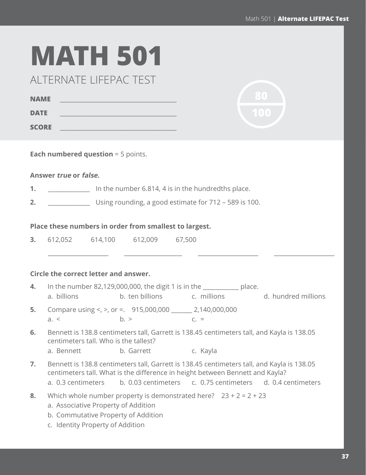**80**

# **MATH 501**

ALTERNATE LIFEPAC TEST

| <b>NAME</b>  |  |
|--------------|--|
| <b>DATE</b>  |  |
| <b>SCORE</b> |  |

**Each numbered question** = 5 points.

#### **Answer true or false.**

- **1. 1. 1. In the number 6.814, 4 is in the hundredths place.**
- **2.** \_\_\_\_\_\_\_\_\_\_\_\_\_\_ Using rounding, a good estimate for 712 589 is 100.

#### **Place these numbers in order from smallest to largest.**

**3.** 612,052 614,100 612,009 67,500

#### **Circle the correct letter and answer.**

| 4. | a. billions                                                                | In the number $82,129,000,000$ , the digit 1 is in the place.<br>b. ten billions c. millions |                                                                                                                                                                                                                                                              | d. hundred millions |
|----|----------------------------------------------------------------------------|----------------------------------------------------------------------------------------------|--------------------------------------------------------------------------------------------------------------------------------------------------------------------------------------------------------------------------------------------------------------|---------------------|
| 5. | a. <                                                                       | Compare using <, >, or =. $915,000,000$ ________ 2,140,000,000<br>b.                         | $C_{\cdot}$ =                                                                                                                                                                                                                                                |                     |
| 6. | centimeters tall. Who is the tallest?<br>a. Bennett b. Garrett             |                                                                                              | Bennett is 138.8 centimeters tall, Garrett is 138.45 centimeters tall, and Kayla is 138.05<br>c. Kayla                                                                                                                                                       |                     |
| 7. |                                                                            |                                                                                              | Bennett is 138.8 centimeters tall, Garrett is 138.45 centimeters tall, and Kayla is 138.05<br>centimeters tall. What is the difference in height between Bennett and Kayla?<br>a. 0.3 centimeters b. 0.03 centimeters c. 0.75 centimeters d. 0.4 centimeters |                     |
| 8. | a. Associative Property of Addition<br>b. Commutative Property of Addition |                                                                                              | Which whole number property is demonstrated here? $23 + 2 = 2 + 23$                                                                                                                                                                                          |                     |

 *\_\_\_\_\_\_\_\_\_\_\_\_\_\_\_\_\_\_\_\_\_\_\_ \_\_\_\_\_\_\_\_\_\_\_\_\_\_\_\_\_\_\_\_\_\_ \_\_\_\_\_\_\_\_\_\_\_\_\_\_\_\_\_\_\_\_\_\_\_ \_\_\_\_\_\_\_\_\_\_\_\_\_\_\_\_\_\_\_\_\_\_\_*

c. Identity Property of Addition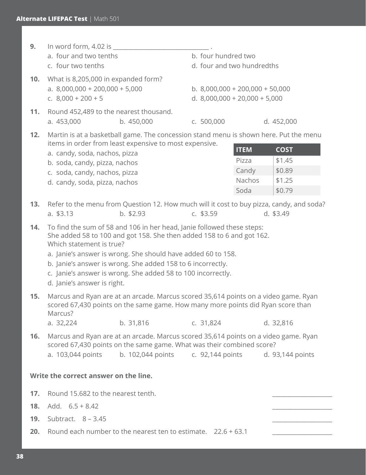| 9.  | In word form, 4.02 is _<br>a. four and two tenths<br>c. four two tenths                                                                                                                                                                                                                                                                                                                                   |                                                                                                                                                                                                    | b. four hundred two | d. four and two hundredths                                           |                                                     |
|-----|-----------------------------------------------------------------------------------------------------------------------------------------------------------------------------------------------------------------------------------------------------------------------------------------------------------------------------------------------------------------------------------------------------------|----------------------------------------------------------------------------------------------------------------------------------------------------------------------------------------------------|---------------------|----------------------------------------------------------------------|-----------------------------------------------------|
| 10. | What is 8,205,000 in expanded form?<br>a. $8,000,000 + 200,000 + 5,000$<br>c. $8,000 + 200 + 5$                                                                                                                                                                                                                                                                                                           |                                                                                                                                                                                                    |                     | b. $8,000,000 + 200,000 + 50,000$<br>d. $8,000,000 + 20,000 + 5,000$ |                                                     |
| 11. | a. 453,000                                                                                                                                                                                                                                                                                                                                                                                                | Round 452,489 to the nearest thousand.<br>b. 450,000                                                                                                                                               | c. 500,000          |                                                                      | d. 452,000                                          |
| 12. | a. candy, soda, nachos, pizza<br>b. soda, candy, pizza, nachos<br>c. soda, candy, nachos, pizza<br>d. candy, soda, pizza, nachos                                                                                                                                                                                                                                                                          | Martin is at a basketball game. The concession stand menu is shown here. Put the menu<br>items in order from least expensive to most expensive.                                                    |                     | <b>ITEM</b><br>Pizza<br>Candy<br>Nachos<br>Soda                      | <b>COST</b><br>\$1.45<br>\$0.89<br>\$1.25<br>\$0.79 |
| 13. | a. $$3.13$                                                                                                                                                                                                                                                                                                                                                                                                | Refer to the menu from Question 12. How much will it cost to buy pizza, candy, and soda?<br>$b.$ \$2.93                                                                                            | c. $$3.59$          |                                                                      | d. \$3.49                                           |
| 14. | To find the sum of 58 and 106 in her head, Janie followed these steps:<br>She added 58 to 100 and got 158. She then added 158 to 6 and got 162.<br>Which statement is true?<br>a. Janie's answer is wrong. She should have added 60 to 158.<br>b. Janie's answer is wrong. She added 158 to 6 incorrectly.<br>c. Janie's answer is wrong. She added 58 to 100 incorrectly.<br>d. Janie's answer is right. |                                                                                                                                                                                                    |                     |                                                                      |                                                     |
| 15. | Marcus and Ryan are at an arcade. Marcus scored 35,614 points on a video game. Ryan<br>scored 67,430 points on the same game. How many more points did Ryan score than<br>Marcus?                                                                                                                                                                                                                         |                                                                                                                                                                                                    |                     |                                                                      |                                                     |
|     | a. 32,224                                                                                                                                                                                                                                                                                                                                                                                                 | b. 31,816                                                                                                                                                                                          | c. 31,824           |                                                                      | d. 32,816                                           |
| 16. | a. 103,044 points                                                                                                                                                                                                                                                                                                                                                                                         | Marcus and Ryan are at an arcade. Marcus scored 35,614 points on a video game. Ryan<br>scored 67,430 points on the same game. What was their combined score?<br>b. 102,044 points c. 92,144 points |                     |                                                                      | d. 93,144 points                                    |
|     | Write the correct answer on the line.                                                                                                                                                                                                                                                                                                                                                                     |                                                                                                                                                                                                    |                     |                                                                      |                                                     |
| 17. | Round 15.682 to the nearest tenth.                                                                                                                                                                                                                                                                                                                                                                        |                                                                                                                                                                                                    |                     |                                                                      |                                                     |
| 18. | Add. $6.5 + 8.42$                                                                                                                                                                                                                                                                                                                                                                                         |                                                                                                                                                                                                    |                     |                                                                      |                                                     |
| 19. |                                                                                                                                                                                                                                                                                                                                                                                                           | Subtract. $8 - 3.45$                                                                                                                                                                               |                     |                                                                      |                                                     |
| 20. | Round each number to the nearest ten to estimate. $22.6 + 63.1$                                                                                                                                                                                                                                                                                                                                           |                                                                                                                                                                                                    |                     |                                                                      |                                                     |